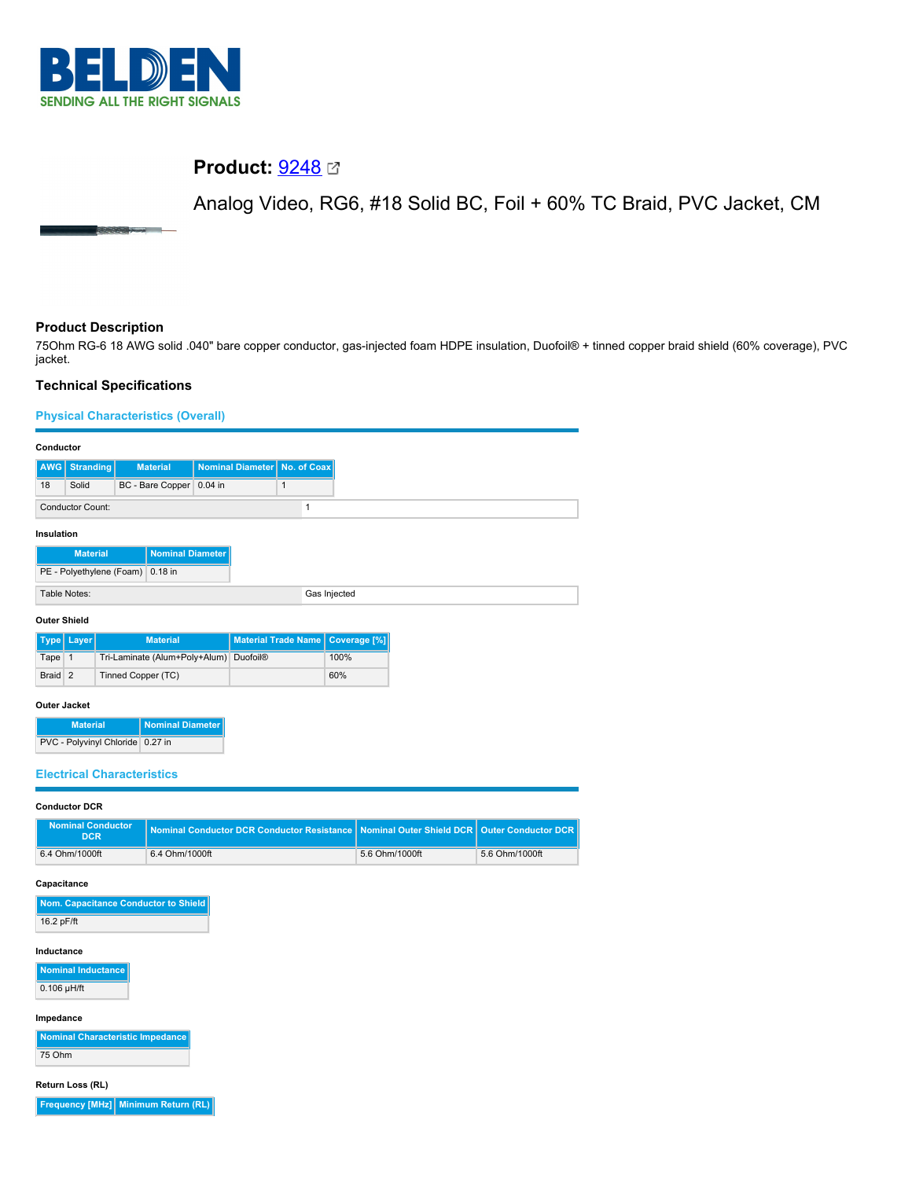

# **Product:** [9248](https://catalog.belden.com/index.cfm?event=pd&p=PF_9248&tab=downloads)

Analog Video, RG6, #18 Solid BC, Foil + 60% TC Braid, PVC Jacket, CM

# **Product Description**

75Ohm RG-6 18 AWG solid .040" bare copper conductor, gas-injected foam HDPE insulation, Duofoil® + tinned copper braid shield (60% coverage), PVC jacket.

# **Technical Specifications**

### **Physical Characteristics (Overall)**

| Conductor                                  |                                  |                          |  |                                |   |              |
|--------------------------------------------|----------------------------------|--------------------------|--|--------------------------------|---|--------------|
|                                            | <b>AWG</b> Stranding             | <b>Material</b>          |  | Nominal Diameter   No. of Coax |   |              |
| 18                                         | Solid                            | BC - Bare Copper 0.04 in |  |                                | 1 |              |
|                                            | <b>Conductor Count:</b>          |                          |  |                                |   |              |
| Insulation                                 |                                  |                          |  |                                |   |              |
| <b>Nominal Diameter</b><br><b>Material</b> |                                  |                          |  |                                |   |              |
|                                            | PE - Polyethylene (Foam) 0.18 in |                          |  |                                |   |              |
| Table Notes:                               |                                  |                          |  |                                |   | Gas Injected |

#### **Outer Shield**

|         | Type   Layer | <b>Material</b>                        | Material Trade Name   Coverage [%] |      |
|---------|--------------|----------------------------------------|------------------------------------|------|
| Tape 1  |              | Tri-Laminate (Alum+Poly+Alum) Duofoil® |                                    | 100% |
| Braid 2 |              | Tinned Copper (TC)                     |                                    | 60%  |

#### **Outer Jacket**

| <b>Material</b>                  | Nominal Diameter |
|----------------------------------|------------------|
| PVC - Polyvinyl Chloride 0.27 in |                  |

### **Electrical Characteristics**

#### **Conductor DCR**

| Nominal Conductor<br>DCR <sup>1</sup> | Nominal Conductor DCR Conductor Resistance Nominal Outer Shield DCR   Outer Conductor DCR |                |                |
|---------------------------------------|-------------------------------------------------------------------------------------------|----------------|----------------|
| 6.4 Ohm/1000ft                        | 6.4 Ohm/1000ft                                                                            | 5.6 Ohm/1000ft | 5.6 Ohm/1000ft |

#### **Capacitance**

| Nom. Capacitance Conductor to Shield |
|--------------------------------------|
| 16.2 pF/ft                           |

#### **Inductance**

**Nominal Inductance**  $0.106$   $\mu$ H/ft

#### **Impedance**

**Nominal Characteristic Impedance** 75 Ohm

#### **Return Loss (RL)**

**Frequency [MHz] Minimum Return (RL)**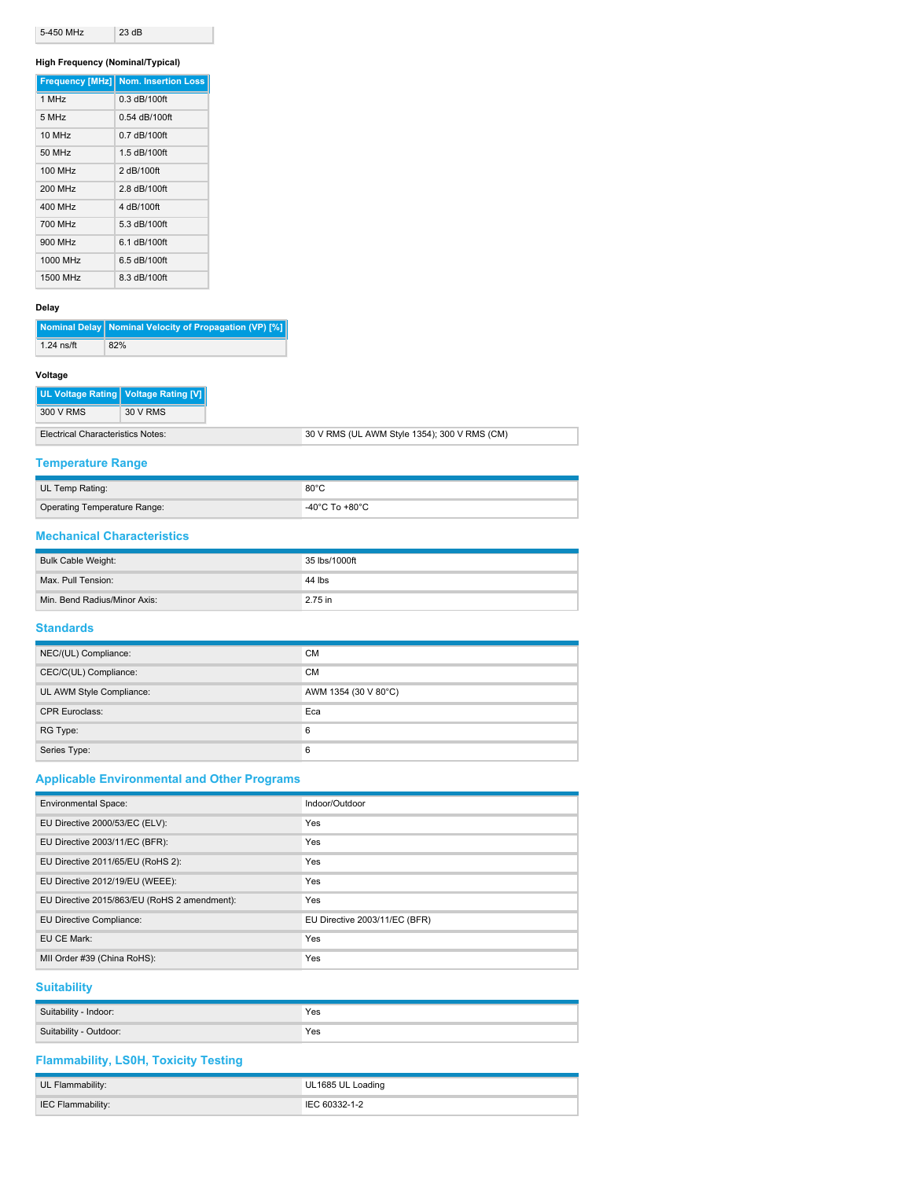| 5-450 MHz | 23 dB |
|-----------|-------|

### **High Frequency (Nominal/Typical)**

|          | <b>Frequency [MHz] Nom. Insertion Loss</b> |
|----------|--------------------------------------------|
| 1 MHz    | $0.3$ dB/100ft                             |
| 5 MHz    | 0.54 dB/100ft                              |
| 10 MHz   | $0.7$ dB/100ft                             |
| 50 MHz   | 1.5 dB/100ft                               |
| 100 MHz  | 2 dB/100ft                                 |
| 200 MHz  | 2.8 dB/100ft                               |
| 400 MHz  | 4 dB/100ft                                 |
| 700 MHz  | 5.3 dB/100ft                               |
| 900 MHz  | 6.1 dB/100ft                               |
| 1000 MHz | 6.5 dB/100ft                               |
| 1500 MHz | 8.3 dB/100ft                               |

### **Delay**

|              | Nominal Delay   Nominal Velocity of Propagation (VP) [%] |
|--------------|----------------------------------------------------------|
| $1.24$ ns/ft | 82%                                                      |

### **Voltage**

| 300 V RMS<br>30 V RMS | UL Voltage Rating Voltage Rating [V] |
|-----------------------|--------------------------------------|
|                       |                                      |

| Electrical Characteristics Notes: | 30 V RMS (UL AWM Style 1354); 300 V RMS (CM) |
|-----------------------------------|----------------------------------------------|
|                                   |                                              |

### **Temperature Range**

| UL Temp Rating:              | 80°C           |
|------------------------------|----------------|
| Operating Temperature Range: | -40°C To +80°C |

### **Mechanical Characteristics**

| Bulk Cable Weight:           | 35 lbs/1000ft |
|------------------------------|---------------|
| Max. Pull Tension:           | 44 lbs        |
| Min. Bend Radius/Minor Axis: | 2.75 in       |

### **Standards**

| NEC/(UL) Compliance:     | <b>CM</b>            |
|--------------------------|----------------------|
| CEC/C(UL) Compliance:    | <b>CM</b>            |
| UL AWM Style Compliance: | AWM 1354 (30 V 80°C) |
| <b>CPR Euroclass:</b>    | Eca                  |
| RG Type:                 | 6                    |
| Series Type:             | 6                    |

# **Applicable Environmental and Other Programs**

| <b>Environmental Space:</b>                  | Indoor/Outdoor                |
|----------------------------------------------|-------------------------------|
| EU Directive 2000/53/EC (ELV):               | Yes                           |
| EU Directive 2003/11/EC (BFR):               | Yes                           |
| EU Directive 2011/65/EU (RoHS 2):            | Yes                           |
| EU Directive 2012/19/EU (WEEE):              | Yes                           |
| EU Directive 2015/863/EU (RoHS 2 amendment): | Yes                           |
| EU Directive Compliance:                     | EU Directive 2003/11/EC (BFR) |
| EU CE Mark:                                  | Yes                           |
| MII Order #39 (China RoHS):                  | Yes                           |

# **Suitability**

| Suitability - Indoor:  | Yes<br>. |
|------------------------|----------|
| Suitability - Outdoor: | Yes      |

# **Flammability, LS0H, Toxicity Testing**

| UL Flammability:         | UL1685 UL Loading |
|--------------------------|-------------------|
| <b>IEC Flammability:</b> | IEC 60332-1-2     |